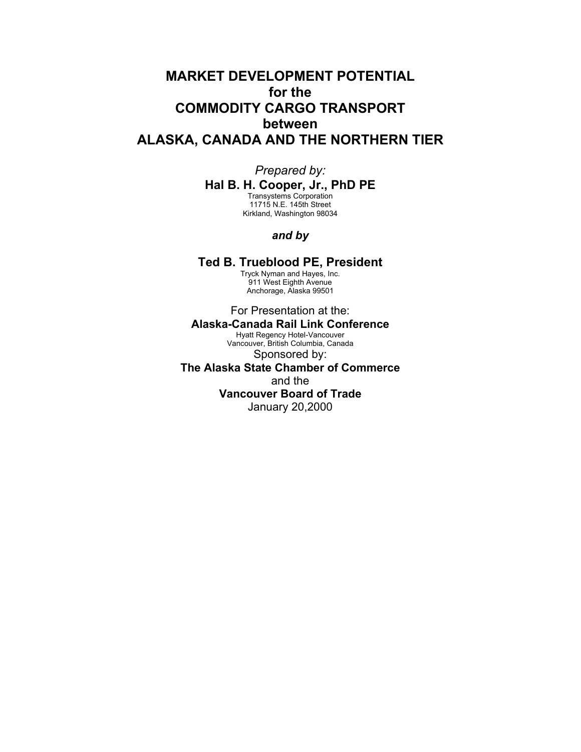# **MARKET DEVELOPMENT POTENTIAL for the COMMODITY CARGO TRANSPORT between ALASKA, CANADA AND THE NORTHERN TIER**

## *Prepared by:*

**Hal B. H. Cooper, Jr., PhD PE**

Transystems Corporation 11715 N.E. 145th Street Kirkland, Washington 98034

## *and by*

## **Ted B. Trueblood PE, President**

Tryck Nyman and Hayes, Inc. 911 West Eighth Avenue Anchorage, Alaska 99501

## For Presentation at the: **Alaska-Canada Rail Link Conference**

Hyatt Regency Hotel-Vancouver Vancouver, British Columbia, Canada Sponsored by:

**The Alaska State Chamber of Commerce** and the **Vancouver Board of Trade** January 20,2000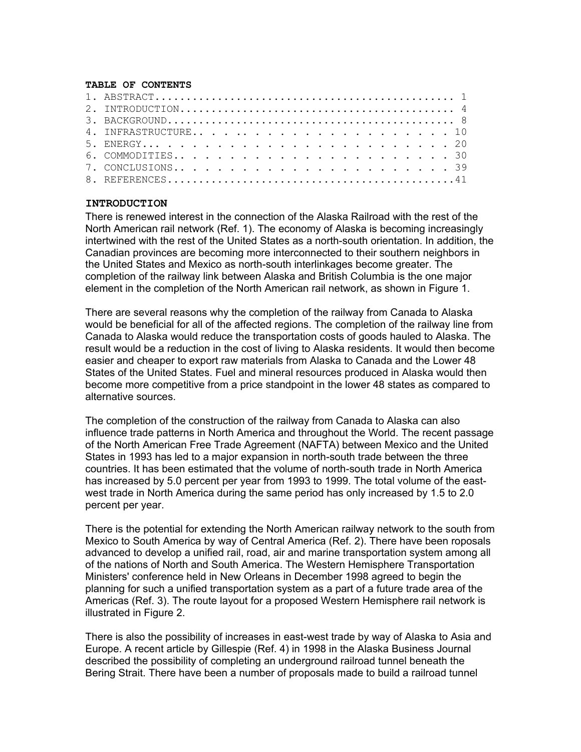#### **TABLE OF CONTENTS**

#### **INTRODUCTION**

There is renewed interest in the connection of the Alaska Railroad with the rest of the North American rail network (Ref. 1). The economy of Alaska is becoming increasingly intertwined with the rest of the United States as a north-south orientation. In addition, the Canadian provinces are becoming more interconnected to their southern neighbors in the United States and Mexico as north-south interlinkages become greater. The completion of the railway link between Alaska and British Columbia is the one major element in the completion of the North American rail network, as shown in Figure 1.

There are several reasons why the completion of the railway from Canada to Alaska would be beneficial for all of the affected regions. The completion of the railway line from Canada to Alaska would reduce the transportation costs of goods hauled to Alaska. The result would be a reduction in the cost of living to Alaska residents. It would then become easier and cheaper to export raw materials from Alaska to Canada and the Lower 48 States of the United States. Fuel and mineral resources produced in Alaska would then become more competitive from a price standpoint in the lower 48 states as compared to alternative sources.

The completion of the construction of the railway from Canada to Alaska can also influence trade patterns in North America and throughout the World. The recent passage of the North American Free Trade Agreement (NAFTA) between Mexico and the United States in 1993 has led to a major expansion in north-south trade between the three countries. It has been estimated that the volume of north-south trade in North America has increased by 5.0 percent per year from 1993 to 1999. The total volume of the eastwest trade in North America during the same period has only increased by 1.5 to 2.0 percent per year.

There is the potential for extending the North American railway network to the south from Mexico to South America by way of Central America (Ref. 2). There have been roposals advanced to develop a unified rail, road, air and marine transportation system among all of the nations of North and South America. The Western Hemisphere Transportation Ministers' conference held in New Orleans in December 1998 agreed to begin the planning for such a unified transportation system as a part of a future trade area of the Americas (Ref. 3). The route layout for a proposed Western Hemisphere rail network is illustrated in Figure 2.

There is also the possibility of increases in east-west trade by way of Alaska to Asia and Europe. A recent article by Gillespie (Ref. 4) in 1998 in the Alaska Business Journal described the possibility of completing an underground railroad tunnel beneath the Bering Strait. There have been a number of proposals made to build a railroad tunnel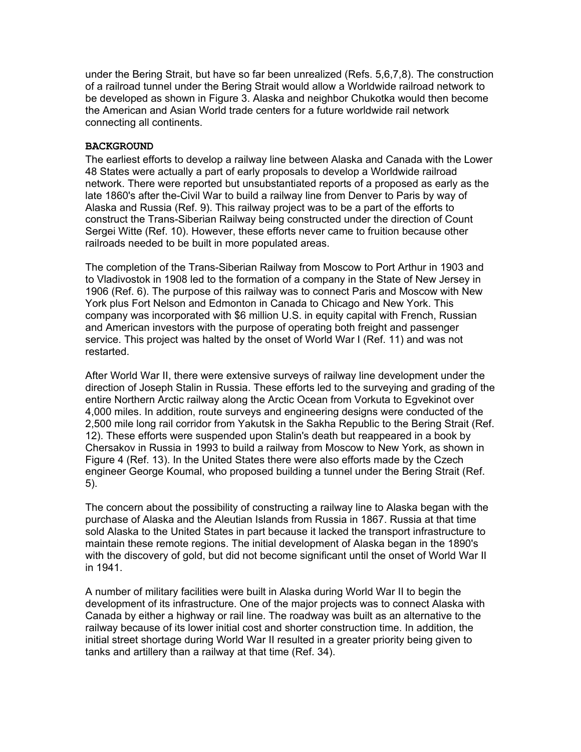under the Bering Strait, but have so far been unrealized (Refs. 5,6,7,8). The construction of a railroad tunnel under the Bering Strait would allow a Worldwide railroad network to be developed as shown in Figure 3. Alaska and neighbor Chukotka would then become the American and Asian World trade centers for a future worldwide rail network connecting all continents.

### **BACKGROUND**

The earliest efforts to develop a railway line between Alaska and Canada with the Lower 48 States were actually a part of early proposals to develop a Worldwide railroad network. There were reported but unsubstantiated reports of a proposed as early as the late 1860's after the-Civil War to build a railway line from Denver to Paris by way of Alaska and Russia (Ref. 9). This railway project was to be a part of the efforts to construct the Trans-Siberian Railway being constructed under the direction of Count Sergei Witte (Ref. 10). However, these efforts never came to fruition because other railroads needed to be built in more populated areas.

The completion of the Trans-Siberian Railway from Moscow to Port Arthur in 1903 and to Vladivostok in 1908 led to the formation of a company in the State of New Jersey in 1906 (Ref. 6). The purpose of this railway was to connect Paris and Moscow with New York plus Fort Nelson and Edmonton in Canada to Chicago and New York. This company was incorporated with \$6 million U.S. in equity capital with French, Russian and American investors with the purpose of operating both freight and passenger service. This project was halted by the onset of World War I (Ref. 11) and was not restarted.

After World War II, there were extensive surveys of railway line development under the direction of Joseph Stalin in Russia. These efforts led to the surveying and grading of the entire Northern Arctic railway along the Arctic Ocean from Vorkuta to Egvekinot over 4,000 miles. In addition, route surveys and engineering designs were conducted of the 2,500 mile long rail corridor from Yakutsk in the Sakha Republic to the Bering Strait (Ref. 12). These efforts were suspended upon Stalin's death but reappeared in a book by Chersakov in Russia in 1993 to build a railway from Moscow to New York, as shown in Figure 4 (Ref. 13). In the United States there were also efforts made by the Czech engineer George Koumal, who proposed building a tunnel under the Bering Strait (Ref. 5).

The concern about the possibility of constructing a railway line to Alaska began with the purchase of Alaska and the Aleutian Islands from Russia in 1867. Russia at that time sold Alaska to the United States in part because it lacked the transport infrastructure to maintain these remote regions. The initial development of Alaska began in the 1890's with the discovery of gold, but did not become significant until the onset of World War II in 1941.

A number of military facilities were built in Alaska during World War II to begin the development of its infrastructure. One of the major projects was to connect Alaska with Canada by either a highway or rail line. The roadway was built as an alternative to the railway because of its lower initial cost and shorter construction time. In addition, the initial street shortage during World War II resulted in a greater priority being given to tanks and artillery than a railway at that time (Ref. 34).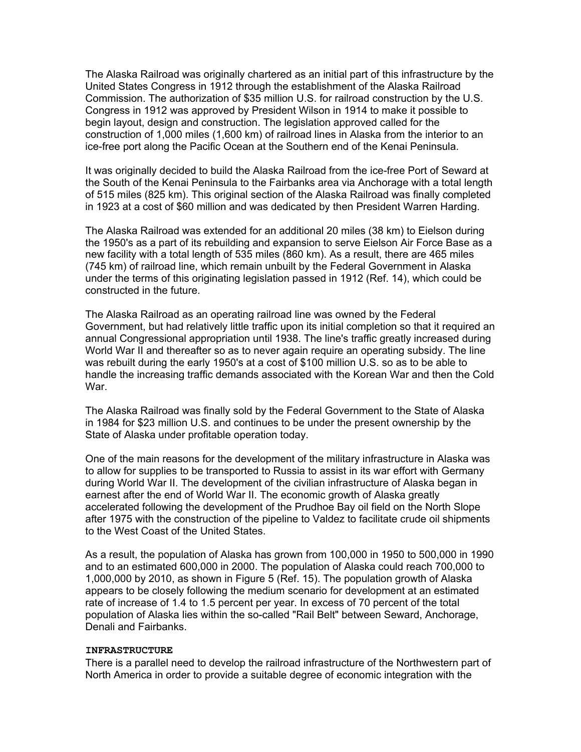The Alaska Railroad was originally chartered as an initial part of this infrastructure by the United States Congress in 1912 through the establishment of the Alaska Railroad Commission. The authorization of \$35 million U.S. for railroad construction by the U.S. Congress in 1912 was approved by President Wilson in 1914 to make it possible to begin layout, design and construction. The legislation approved called for the construction of 1,000 miles (1,600 km) of railroad lines in Alaska from the interior to an ice-free port along the Pacific Ocean at the Southern end of the Kenai Peninsula.

It was originally decided to build the Alaska Railroad from the ice-free Port of Seward at the South of the Kenai Peninsula to the Fairbanks area via Anchorage with a total length of 515 miles (825 km). This original section of the Alaska Railroad was finally completed in 1923 at a cost of \$60 million and was dedicated by then President Warren Harding.

The Alaska Railroad was extended for an additional 20 miles (38 km) to Eielson during the 1950's as a part of its rebuilding and expansion to serve Eielson Air Force Base as a new facility with a total length of 535 miles (860 km). As a result, there are 465 miles (745 km) of railroad line, which remain unbuilt by the Federal Government in Alaska under the terms of this originating legislation passed in 1912 (Ref. 14), which could be constructed in the future.

The Alaska Railroad as an operating railroad line was owned by the Federal Government, but had relatively little traffic upon its initial completion so that it required an annual Congressional appropriation until 1938. The line's traffic greatly increased during World War II and thereafter so as to never again require an operating subsidy. The line was rebuilt during the early 1950's at a cost of \$100 million U.S. so as to be able to handle the increasing traffic demands associated with the Korean War and then the Cold War.

The Alaska Railroad was finally sold by the Federal Government to the State of Alaska in 1984 for \$23 million U.S. and continues to be under the present ownership by the State of Alaska under profitable operation today.

One of the main reasons for the development of the military infrastructure in Alaska was to allow for supplies to be transported to Russia to assist in its war effort with Germany during World War II. The development of the civilian infrastructure of Alaska began in earnest after the end of World War II. The economic growth of Alaska greatly accelerated following the development of the Prudhoe Bay oil field on the North Slope after 1975 with the construction of the pipeline to Valdez to facilitate crude oil shipments to the West Coast of the United States.

As a result, the population of Alaska has grown from 100,000 in 1950 to 500,000 in 1990 and to an estimated 600,000 in 2000. The population of Alaska could reach 700,000 to 1,000,000 by 2010, as shown in Figure 5 (Ref. 15). The population growth of Alaska appears to be closely following the medium scenario for development at an estimated rate of increase of 1.4 to 1.5 percent per year. In excess of 70 percent of the total population of Alaska lies within the so-called "Rail Belt" between Seward, Anchorage, Denali and Fairbanks.

#### **INFRASTRUCTURE**

There is a parallel need to develop the railroad infrastructure of the Northwestern part of North America in order to provide a suitable degree of economic integration with the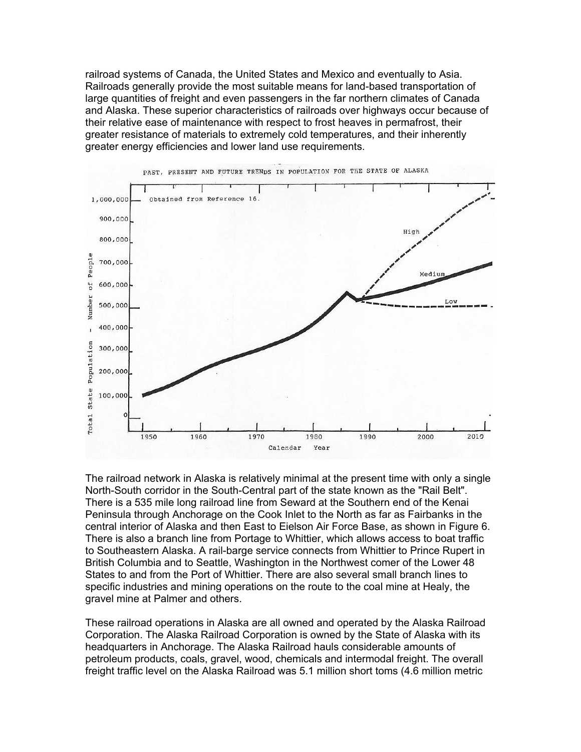railroad systems of Canada, the United States and Mexico and eventually to Asia. Railroads generally provide the most suitable means for land-based transportation of large quantities of freight and even passengers in the far northern climates of Canada and Alaska. These superior characteristics of railroads over highways occur because of their relative ease of maintenance with respect to frost heaves in permafrost, their greater resistance of materials to extremely cold temperatures, and their inherently greater energy efficiencies and lower land use requirements.



The railroad network in Alaska is relatively minimal at the present time with only a single North-South corridor in the South-Central part of the state known as the "Rail Belt". There is a 535 mile long railroad line from Seward at the Southern end of the Kenai Peninsula through Anchorage on the Cook Inlet to the North as far as Fairbanks in the central interior of Alaska and then East to Eielson Air Force Base, as shown in Figure 6. There is also a branch line from Portage to Whittier, which allows access to boat traffic to Southeastern Alaska. A rail-barge service connects from Whittier to Prince Rupert in British Columbia and to Seattle, Washington in the Northwest comer of the Lower 48 States to and from the Port of Whittier. There are also several small branch lines to specific industries and mining operations on the route to the coal mine at Healy, the gravel mine at Palmer and others.

These railroad operations in Alaska are all owned and operated by the Alaska Railroad Corporation. The Alaska Railroad Corporation is owned by the State of Alaska with its headquarters in Anchorage. The Alaska Railroad hauls considerable amounts of petroleum products, coals, gravel, wood, chemicals and intermodal freight. The overall freight traffic level on the Alaska Railroad was 5.1 million short toms (4.6 million metric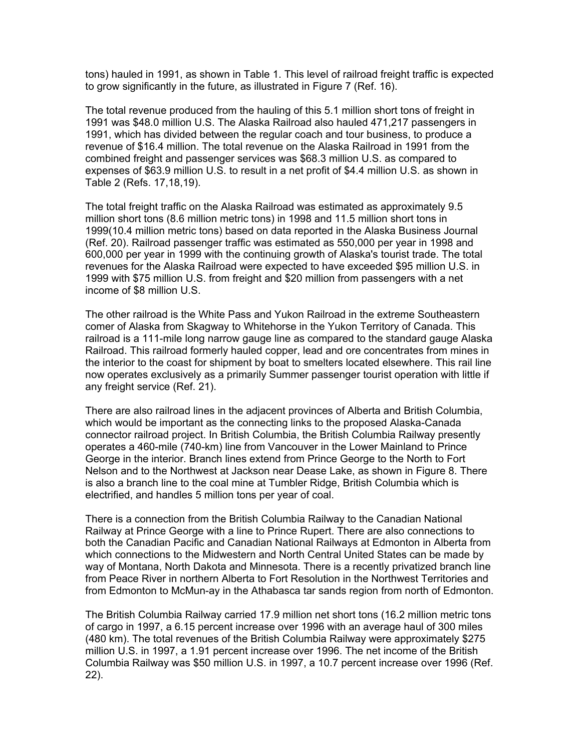tons) hauled in 1991, as shown in Table 1. This level of railroad freight traffic is expected to grow significantly in the future, as illustrated in Figure 7 (Ref. 16).

The total revenue produced from the hauling of this 5.1 million short tons of freight in 1991 was \$48.0 million U.S. The Alaska Railroad also hauled 471,217 passengers in 1991, which has divided between the regular coach and tour business, to produce a revenue of \$16.4 million. The total revenue on the Alaska Railroad in 1991 from the combined freight and passenger services was \$68.3 million U.S. as compared to expenses of \$63.9 million U.S. to result in a net profit of \$4.4 million U.S. as shown in Table 2 (Refs. 17,18,19).

The total freight traffic on the Alaska Railroad was estimated as approximately 9.5 million short tons (8.6 million metric tons) in 1998 and 11.5 million short tons in 1999(10.4 million metric tons) based on data reported in the Alaska Business Journal (Ref. 20). Railroad passenger traffic was estimated as 550,000 per year in 1998 and 600,000 per year in 1999 with the continuing growth of Alaska's tourist trade. The total revenues for the Alaska Railroad were expected to have exceeded \$95 million U.S. in 1999 with \$75 million U.S. from freight and \$20 million from passengers with a net income of \$8 million U.S.

The other railroad is the White Pass and Yukon Railroad in the extreme Southeastern comer of Alaska from Skagway to Whitehorse in the Yukon Territory of Canada. This railroad is a 111-mile long narrow gauge line as compared to the standard gauge Alaska Railroad. This railroad formerly hauled copper, lead and ore concentrates from mines in the interior to the coast for shipment by boat to smelters located elsewhere. This rail line now operates exclusively as a primarily Summer passenger tourist operation with little if any freight service (Ref. 21).

There are also railroad lines in the adjacent provinces of Alberta and British Columbia, which would be important as the connecting links to the proposed Alaska-Canada connector railroad project. In British Columbia, the British Columbia Railway presently operates a 460-mile (740-km) line from Vancouver in the Lower Mainland to Prince George in the interior. Branch lines extend from Prince George to the North to Fort Nelson and to the Northwest at Jackson near Dease Lake, as shown in Figure 8. There is also a branch line to the coal mine at Tumbler Ridge, British Columbia which is electrified, and handles 5 million tons per year of coal.

There is a connection from the British Columbia Railway to the Canadian National Railway at Prince George with a line to Prince Rupert. There are also connections to both the Canadian Pacific and Canadian National Railways at Edmonton in Alberta from which connections to the Midwestern and North Central United States can be made by way of Montana, North Dakota and Minnesota. There is a recently privatized branch line from Peace River in northern Alberta to Fort Resolution in the Northwest Territories and from Edmonton to McMun-ay in the Athabasca tar sands region from north of Edmonton.

The British Columbia Railway carried 17.9 million net short tons (16.2 million metric tons of cargo in 1997, a 6.15 percent increase over 1996 with an average haul of 300 miles (480 km). The total revenues of the British Columbia Railway were approximately \$275 million U.S. in 1997, a 1.91 percent increase over 1996. The net income of the British Columbia Railway was \$50 million U.S. in 1997, a 10.7 percent increase over 1996 (Ref. 22).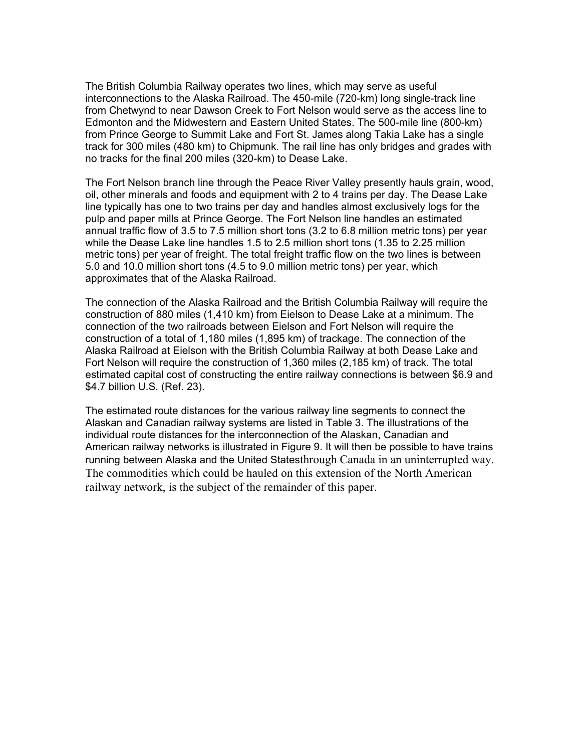The British Columbia Railway operates two lines, which may serve as useful interconnections to the Alaska Railroad. The 450-mile (720-km) long single-track line from Chetwynd to near Dawson Creek to Fort Nelson would serve as the access line to Edmonton and the Midwestern and Eastern United States. The 500-mile line (800-km) from Prince George to Summit Lake and Fort St. James along Takia Lake has a single track for 300 miles (480 km) to Chipmunk. The rail line has only bridges and grades with no tracks for the final 200 miles (320-km) to Dease Lake.

The Fort Nelson branch line through the Peace River Valley presently hauls grain, wood, oil, other minerals and foods and equipment with 2 to 4 trains per day. The Dease Lake line typically has one to two trains per day and handles almost exclusively logs for the pulp and paper mills at Prince George. The Fort Nelson line handles an estimated annual traffic flow of 3.5 to 7.5 million short tons (3.2 to 6.8 million metric tons) per year while the Dease Lake line handles 1.5 to 2.5 million short tons (1.35 to 2.25 million metric tons) per year of freight. The total freight traffic flow on the two lines is between 5.0 and 10.0 million short tons (4.5 to 9.0 million metric tons) per year, which approximates that of the Alaska Railroad.

The connection of the Alaska Railroad and the British Columbia Railway will require the construction of 880 miles (1,410 km) from Eielson to Dease Lake at a minimum. The connection of the two railroads between Eielson and Fort Nelson will require the construction of a total of 1,180 miles (1,895 km) of trackage. The connection of the Alaska Railroad at Eielson with the British Columbia Railway at both Dease Lake and Fort Nelson will require the construction of 1,360 miles (2,185 km) of track. The total estimated capital cost of constructing the entire railway connections is between \$6.9 and \$4.7 billion U.S. (Ref. 23).

The estimated route distances for the various railway line segments to connect the Alaskan and Canadian railway systems are listed in Table 3. The illustrations of the individual route distances for the interconnection of the Alaskan, Canadian and American railway networks is illustrated in Figure 9. It will then be possible to have trains running between Alaska and the United Statesthrough Canada in an uninterrupted way. The commodities which could be hauled on this extension of the North American railway network, is the subject of the remainder of this paper.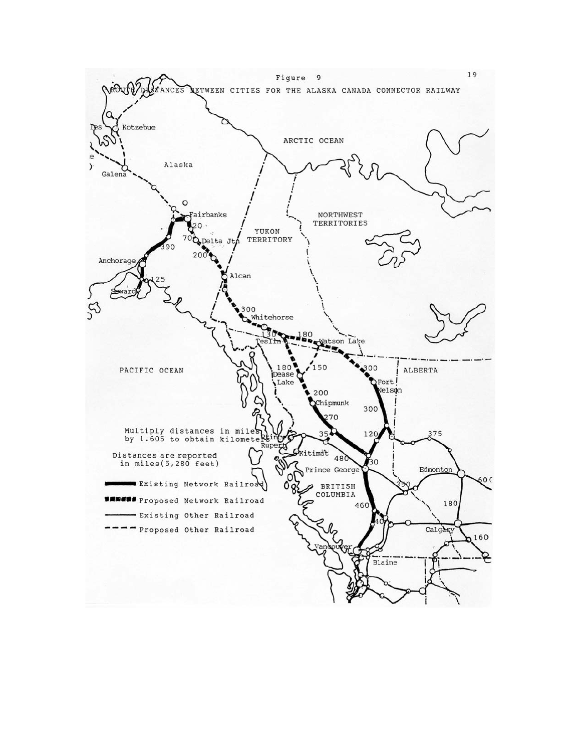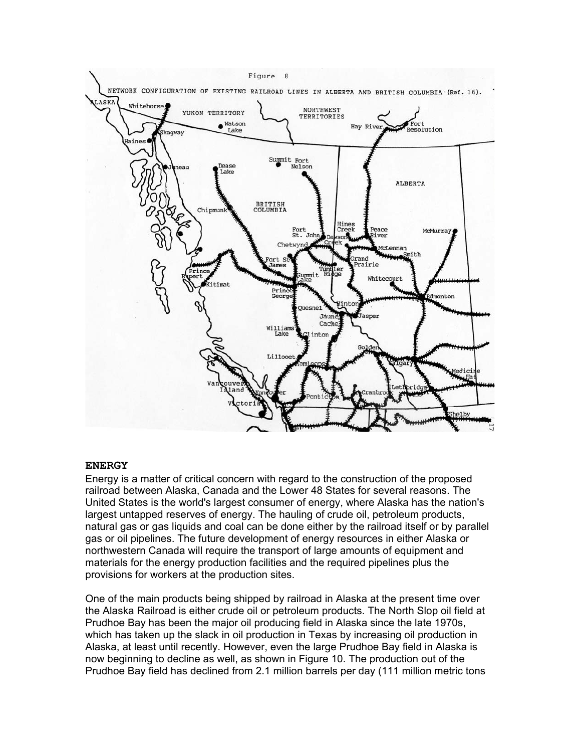

#### **ENERGY**

Energy is a matter of critical concern with regard to the construction of the proposed railroad between Alaska, Canada and the Lower 48 States for several reasons. The United States is the world's largest consumer of energy, where Alaska has the nation's largest untapped reserves of energy. The hauling of crude oil, petroleum products, natural gas or gas liquids and coal can be done either by the railroad itself or by parallel gas or oil pipelines. The future development of energy resources in either Alaska or northwestern Canada will require the transport of large amounts of equipment and materials for the energy production facilities and the required pipelines plus the provisions for workers at the production sites.

One of the main products being shipped by railroad in Alaska at the present time over the Alaska Railroad is either crude oil or petroleum products. The North Slop oil field at Prudhoe Bay has been the major oil producing field in Alaska since the late 1970s, which has taken up the slack in oil production in Texas by increasing oil production in Alaska, at least until recently. However, even the large Prudhoe Bay field in Alaska is now beginning to decline as well, as shown in Figure 10. The production out of the Prudhoe Bay field has declined from 2.1 million barrels per day (111 million metric tons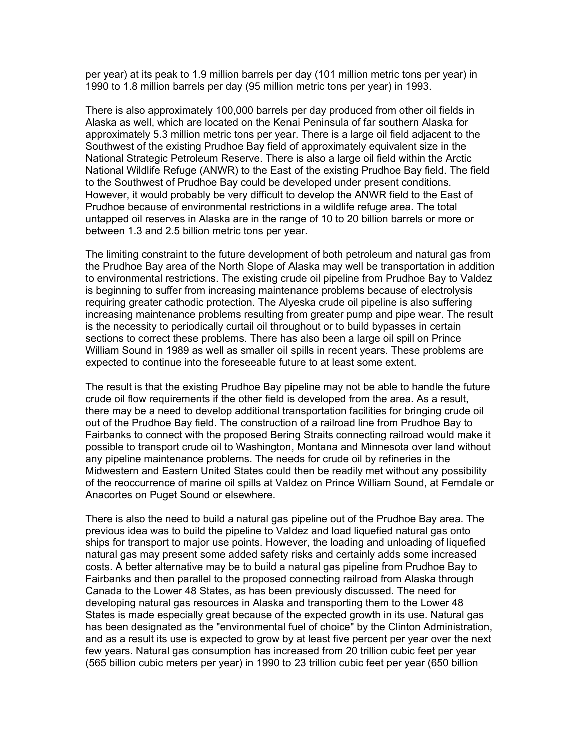per year) at its peak to 1.9 million barrels per day (101 million metric tons per year) in 1990 to 1.8 million barrels per day (95 million metric tons per year) in 1993.

There is also approximately 100,000 barrels per day produced from other oil fields in Alaska as well, which are located on the Kenai Peninsula of far southern Alaska for approximately 5.3 million metric tons per year. There is a large oil field adjacent to the Southwest of the existing Prudhoe Bay field of approximately equivalent size in the National Strategic Petroleum Reserve. There is also a large oil field within the Arctic National Wildlife Refuge (ANWR) to the East of the existing Prudhoe Bay field. The field to the Southwest of Prudhoe Bay could be developed under present conditions. However, it would probably be very difficult to develop the ANWR field to the East of Prudhoe because of environmental restrictions in a wildlife refuge area. The total untapped oil reserves in Alaska are in the range of 10 to 20 billion barrels or more or between 1.3 and 2.5 billion metric tons per year.

The limiting constraint to the future development of both petroleum and natural gas from the Prudhoe Bay area of the North Slope of Alaska may well be transportation in addition to environmental restrictions. The existing crude oil pipeline from Prudhoe Bay to Valdez is beginning to suffer from increasing maintenance problems because of electrolysis requiring greater cathodic protection. The Alyeska crude oil pipeline is also suffering increasing maintenance problems resulting from greater pump and pipe wear. The result is the necessity to periodically curtail oil throughout or to build bypasses in certain sections to correct these problems. There has also been a large oil spill on Prince William Sound in 1989 as well as smaller oil spills in recent years. These problems are expected to continue into the foreseeable future to at least some extent.

The result is that the existing Prudhoe Bay pipeline may not be able to handle the future crude oil flow requirements if the other field is developed from the area. As a result, there may be a need to develop additional transportation facilities for bringing crude oil out of the Prudhoe Bay field. The construction of a railroad line from Prudhoe Bay to Fairbanks to connect with the proposed Bering Straits connecting railroad would make it possible to transport crude oil to Washington, Montana and Minnesota over land without any pipeline maintenance problems. The needs for crude oil by refineries in the Midwestern and Eastern United States could then be readily met without any possibility of the reoccurrence of marine oil spills at Valdez on Prince William Sound, at Femdale or Anacortes on Puget Sound or elsewhere.

There is also the need to build a natural gas pipeline out of the Prudhoe Bay area. The previous idea was to build the pipeline to Valdez and load liquefied natural gas onto ships for transport to major use points. However, the loading and unloading of liquefied natural gas may present some added safety risks and certainly adds some increased costs. A better alternative may be to build a natural gas pipeline from Prudhoe Bay to Fairbanks and then parallel to the proposed connecting railroad from Alaska through Canada to the Lower 48 States, as has been previously discussed. The need for developing natural gas resources in Alaska and transporting them to the Lower 48 States is made especially great because of the expected growth in its use. Natural gas has been designated as the "environmental fuel of choice" by the Clinton Administration, and as a result its use is expected to grow by at least five percent per year over the next few years. Natural gas consumption has increased from 20 trillion cubic feet per year (565 billion cubic meters per year) in 1990 to 23 trillion cubic feet per year (650 billion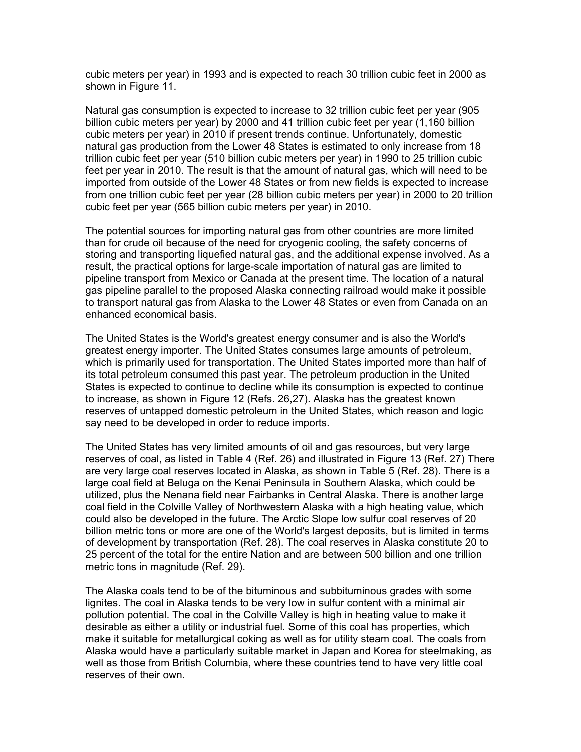cubic meters per year) in 1993 and is expected to reach 30 trillion cubic feet in 2000 as shown in Figure 11.

Natural gas consumption is expected to increase to 32 trillion cubic feet per year (905 billion cubic meters per year) by 2000 and 41 trillion cubic feet per year (1,160 billion cubic meters per year) in 2010 if present trends continue. Unfortunately, domestic natural gas production from the Lower 48 States is estimated to only increase from 18 trillion cubic feet per year (510 billion cubic meters per year) in 1990 to 25 trillion cubic feet per year in 2010. The result is that the amount of natural gas, which will need to be imported from outside of the Lower 48 States or from new fields is expected to increase from one trillion cubic feet per year (28 billion cubic meters per year) in 2000 to 20 trillion cubic feet per year (565 billion cubic meters per year) in 2010.

The potential sources for importing natural gas from other countries are more limited than for crude oil because of the need for cryogenic cooling, the safety concerns of storing and transporting liquefied natural gas, and the additional expense involved. As a result, the practical options for large-scale importation of natural gas are limited to pipeline transport from Mexico or Canada at the present time. The location of a natural gas pipeline parallel to the proposed Alaska connecting railroad would make it possible to transport natural gas from Alaska to the Lower 48 States or even from Canada on an enhanced economical basis.

The United States is the World's greatest energy consumer and is also the World's greatest energy importer. The United States consumes large amounts of petroleum, which is primarily used for transportation. The United States imported more than half of its total petroleum consumed this past year. The petroleum production in the United States is expected to continue to decline while its consumption is expected to continue to increase, as shown in Figure 12 (Refs. 26,27). Alaska has the greatest known reserves of untapped domestic petroleum in the United States, which reason and logic say need to be developed in order to reduce imports.

The United States has very limited amounts of oil and gas resources, but very large reserves of coal, as listed in Table 4 (Ref. 26) and illustrated in Figure 13 (Ref. 27) There are very large coal reserves located in Alaska, as shown in Table 5 (Ref. 28). There is a large coal field at Beluga on the Kenai Peninsula in Southern Alaska, which could be utilized, plus the Nenana field near Fairbanks in Central Alaska. There is another large coal field in the Colville Valley of Northwestern Alaska with a high heating value, which could also be developed in the future. The Arctic Slope low sulfur coal reserves of 20 billion metric tons or more are one of the World's largest deposits, but is limited in terms of development by transportation (Ref. 28). The coal reserves in Alaska constitute 20 to 25 percent of the total for the entire Nation and are between 500 billion and one trillion metric tons in magnitude (Ref. 29).

The Alaska coals tend to be of the bituminous and subbituminous grades with some lignites. The coal in Alaska tends to be very low in sulfur content with a minimal air pollution potential. The coal in the Colville Valley is high in heating value to make it desirable as either a utility or industrial fuel. Some of this coal has properties, which make it suitable for metallurgical coking as well as for utility steam coal. The coals from Alaska would have a particularly suitable market in Japan and Korea for steelmaking, as well as those from British Columbia, where these countries tend to have very little coal reserves of their own.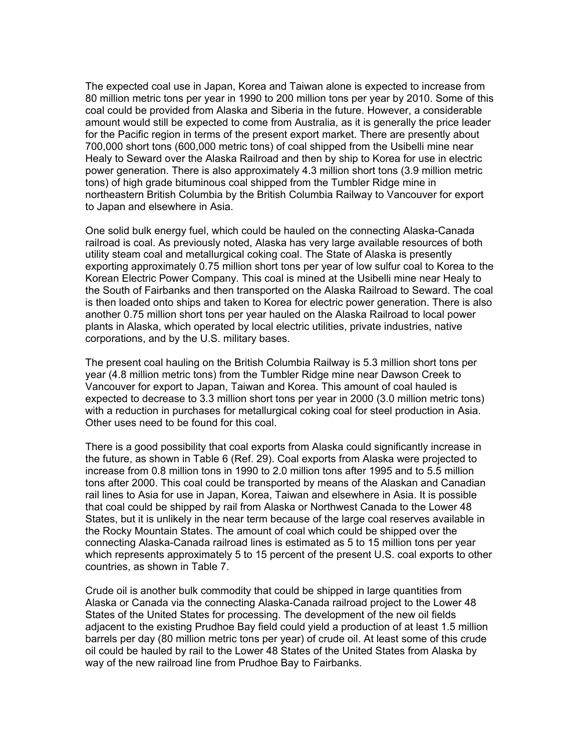The expected coal use in Japan, Korea and Taiwan alone is expected to increase from 80 million metric tons per year in 1990 to 200 million tons per year by 2010. Some of this coal could be provided from Alaska and Siberia in the future. However, a considerable amount would still be expected to come from Australia, as it is generally the price leader for the Pacific region in terms of the present export market. There are presently about 700,000 short tons (600,000 metric tons) of coal shipped from the Usibelli mine near Healy to Seward over the Alaska Railroad and then by ship to Korea for use in electric power generation. There is also approximately 4.3 million short tons (3.9 million metric tons) of high grade bituminous coal shipped from the Tumbler Ridge mine in northeastern British Columbia by the British Columbia Railway to Vancouver for export to Japan and elsewhere in Asia.

One solid bulk energy fuel, which could be hauled on the connecting Alaska-Canada railroad is coal. As previously noted, Alaska has very large available resources of both utility steam coal and metallurgical coking coal. The State of Alaska is presently exporting approximately 0.75 million short tons per year of low sulfur coal to Korea to the Korean Electric Power Company. This coal is mined at the Usibelli mine near Healy to the South of Fairbanks and then transported on the Alaska Railroad to Seward. The coal is then loaded onto ships and taken to Korea for electric power generation. There is also another 0.75 million short tons per year hauled on the Alaska Railroad to local power plants in Alaska, which operated by local electric utilities, private industries, native corporations, and by the U.S. military bases.

The present coal hauling on the British Columbia Railway is 5.3 million short tons per year (4.8 million metric tons) from the Tumbler Ridge mine near Dawson Creek to Vancouver for export to Japan, Taiwan and Korea. This amount of coal hauled is expected to decrease to 3.3 million short tons per year in 2000 (3.0 million metric tons) with a reduction in purchases for metallurgical coking coal for steel production in Asia. Other uses need to be found for this coal.

There is a good possibility that coal exports from Alaska could significantly increase in the future, as shown in Table 6 (Ref. 29). Coal exports from Alaska were projected to increase from 0.8 million tons in 1990 to 2.0 million tons after 1995 and to 5.5 million tons after 2000. This coal could be transported by means of the Alaskan and Canadian rail lines to Asia for use in Japan, Korea, Taiwan and elsewhere in Asia. It is possible that coal could be shipped by rail from Alaska or Northwest Canada to the Lower 48 States, but it is unlikely in the near term because of the large coal reserves available in the Rocky Mountain States. The amount of coal which could be shipped over the connecting Alaska-Canada railroad lines is estimated as 5 to 15 million tons per year which represents approximately 5 to 15 percent of the present U.S. coal exports to other countries, as shown in Table 7.

Crude oil is another bulk commodity that could be shipped in large quantities from Alaska or Canada via the connecting Alaska-Canada railroad project to the Lower 48 States of the United States for processing. The development of the new oil fields adjacent to the existing Prudhoe Bay field could yield a production of at least 1.5 million barrels per day (80 million metric tons per year) of crude oil. At least some of this crude oil could be hauled by rail to the Lower 48 States of the United States from Alaska by way of the new railroad line from Prudhoe Bay to Fairbanks.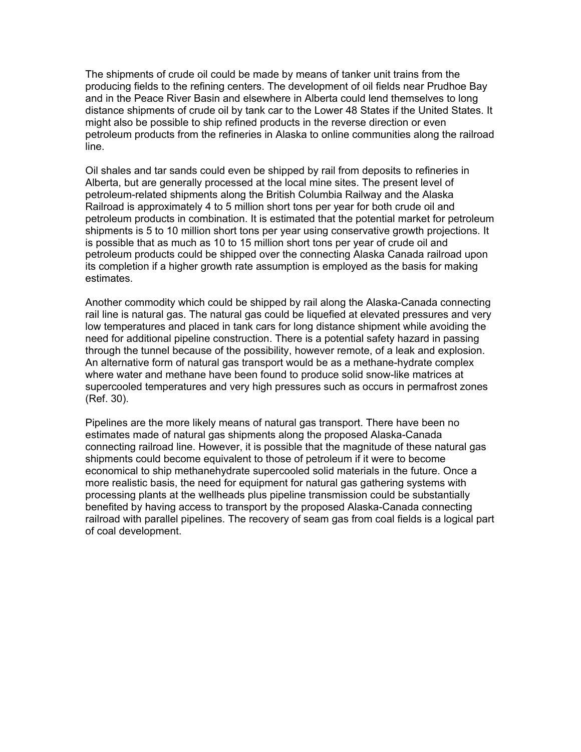The shipments of crude oil could be made by means of tanker unit trains from the producing fields to the refining centers. The development of oil fields near Prudhoe Bay and in the Peace River Basin and elsewhere in Alberta could lend themselves to long distance shipments of crude oil by tank car to the Lower 48 States if the United States. It might also be possible to ship refined products in the reverse direction or even petroleum products from the refineries in Alaska to online communities along the railroad line.

Oil shales and tar sands could even be shipped by rail from deposits to refineries in Alberta, but are generally processed at the local mine sites. The present level of petroleum-related shipments along the British Columbia Railway and the Alaska Railroad is approximately 4 to 5 million short tons per year for both crude oil and petroleum products in combination. It is estimated that the potential market for petroleum shipments is 5 to 10 million short tons per year using conservative growth projections. It is possible that as much as 10 to 15 million short tons per year of crude oil and petroleum products could be shipped over the connecting Alaska Canada railroad upon its completion if a higher growth rate assumption is employed as the basis for making estimates.

Another commodity which could be shipped by rail along the Alaska-Canada connecting rail line is natural gas. The natural gas could be liquefied at elevated pressures and very low temperatures and placed in tank cars for long distance shipment while avoiding the need for additional pipeline construction. There is a potential safety hazard in passing through the tunnel because of the possibility, however remote, of a leak and explosion. An alternative form of natural gas transport would be as a methane-hydrate complex where water and methane have been found to produce solid snow-like matrices at supercooled temperatures and very high pressures such as occurs in permafrost zones (Ref. 30).

Pipelines are the more likely means of natural gas transport. There have been no estimates made of natural gas shipments along the proposed Alaska-Canada connecting railroad line. However, it is possible that the magnitude of these natural gas shipments could become equivalent to those of petroleum if it were to become economical to ship methanehydrate supercooled solid materials in the future. Once a more realistic basis, the need for equipment for natural gas gathering systems with processing plants at the wellheads plus pipeline transmission could be substantially benefited by having access to transport by the proposed Alaska-Canada connecting railroad with parallel pipelines. The recovery of seam gas from coal fields is a logical part of coal development.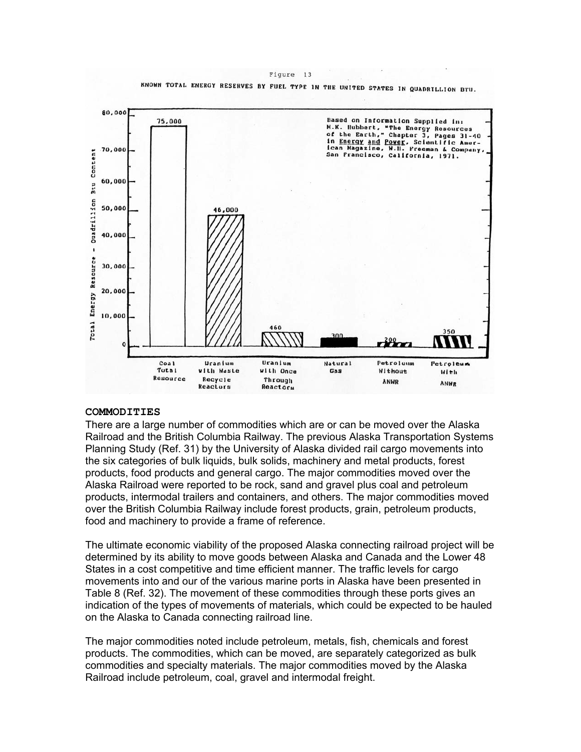Figure 13 KNOWN TOTAL ENERGY RESERVES BY FUEL TYPE IN THE UNITED STATES IN QUADRILLION BTU.



#### **COMMODITIES**

There are a large number of commodities which are or can be moved over the Alaska Railroad and the British Columbia Railway. The previous Alaska Transportation Systems Planning Study (Ref. 31) by the University of Alaska divided rail cargo movements into the six categories of bulk liquids, bulk solids, machinery and metal products, forest products, food products and general cargo. The major commodities moved over the Alaska Railroad were reported to be rock, sand and gravel plus coal and petroleum products, intermodal trailers and containers, and others. The major commodities moved over the British Columbia Railway include forest products, grain, petroleum products, food and machinery to provide a frame of reference.

The ultimate economic viability of the proposed Alaska connecting railroad project will be determined by its ability to move goods between Alaska and Canada and the Lower 48 States in a cost competitive and time efficient manner. The traffic levels for cargo movements into and our of the various marine ports in Alaska have been presented in Table 8 (Ref. 32). The movement of these commodities through these ports gives an indication of the types of movements of materials, which could be expected to be hauled on the Alaska to Canada connecting railroad line.

The major commodities noted include petroleum, metals, fish, chemicals and forest products. The commodities, which can be moved, are separately categorized as bulk commodities and specialty materials. The major commodities moved by the Alaska Railroad include petroleum, coal, gravel and intermodal freight.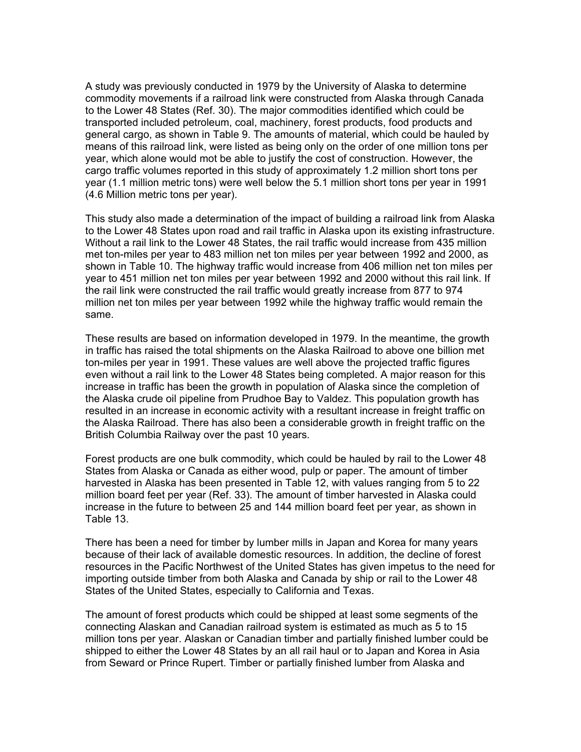A study was previously conducted in 1979 by the University of Alaska to determine commodity movements if a railroad link were constructed from Alaska through Canada to the Lower 48 States (Ref. 30). The major commodities identified which could be transported included petroleum, coal, machinery, forest products, food products and general cargo, as shown in Table 9. The amounts of material, which could be hauled by means of this railroad link, were listed as being only on the order of one million tons per year, which alone would mot be able to justify the cost of construction. However, the cargo traffic volumes reported in this study of approximately 1.2 million short tons per year (1.1 million metric tons) were well below the 5.1 million short tons per year in 1991 (4.6 Million metric tons per year).

This study also made a determination of the impact of building a railroad link from Alaska to the Lower 48 States upon road and rail traffic in Alaska upon its existing infrastructure. Without a rail link to the Lower 48 States, the rail traffic would increase from 435 million met ton-miles per year to 483 million net ton miles per year between 1992 and 2000, as shown in Table 10. The highway traffic would increase from 406 million net ton miles per year to 451 million net ton miles per year between 1992 and 2000 without this rail link. If the rail link were constructed the rail traffic would greatly increase from 877 to 974 million net ton miles per year between 1992 while the highway traffic would remain the same.

These results are based on information developed in 1979. In the meantime, the growth in traffic has raised the total shipments on the Alaska Railroad to above one billion met ton-miles per year in 1991. These values are well above the projected traffic figures even without a rail link to the Lower 48 States being completed. A major reason for this increase in traffic has been the growth in population of Alaska since the completion of the Alaska crude oil pipeline from Prudhoe Bay to Valdez. This population growth has resulted in an increase in economic activity with a resultant increase in freight traffic on the Alaska Railroad. There has also been a considerable growth in freight traffic on the British Columbia Railway over the past 10 years.

Forest products are one bulk commodity, which could be hauled by rail to the Lower 48 States from Alaska or Canada as either wood, pulp or paper. The amount of timber harvested in Alaska has been presented in Table 12, with values ranging from 5 to 22 million board feet per year (Ref. 33). The amount of timber harvested in Alaska could increase in the future to between 25 and 144 million board feet per year, as shown in Table 13.

There has been a need for timber by lumber mills in Japan and Korea for many years because of their lack of available domestic resources. In addition, the decline of forest resources in the Pacific Northwest of the United States has given impetus to the need for importing outside timber from both Alaska and Canada by ship or rail to the Lower 48 States of the United States, especially to California and Texas.

The amount of forest products which could be shipped at least some segments of the connecting Alaskan and Canadian railroad system is estimated as much as 5 to 15 million tons per year. Alaskan or Canadian timber and partially finished lumber could be shipped to either the Lower 48 States by an all rail haul or to Japan and Korea in Asia from Seward or Prince Rupert. Timber or partially finished lumber from Alaska and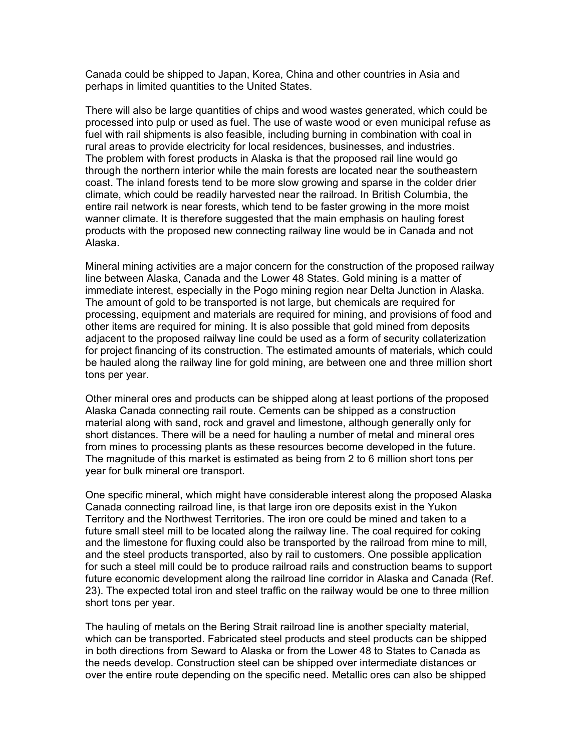Canada could be shipped to Japan, Korea, China and other countries in Asia and perhaps in limited quantities to the United States.

There will also be large quantities of chips and wood wastes generated, which could be processed into pulp or used as fuel. The use of waste wood or even municipal refuse as fuel with rail shipments is also feasible, including burning in combination with coal in rural areas to provide electricity for local residences, businesses, and industries. The problem with forest products in Alaska is that the proposed rail line would go through the northern interior while the main forests are located near the southeastern coast. The inland forests tend to be more slow growing and sparse in the colder drier climate, which could be readily harvested near the railroad. In British Columbia, the entire rail network is near forests, which tend to be faster growing in the more moist wanner climate. It is therefore suggested that the main emphasis on hauling forest products with the proposed new connecting railway line would be in Canada and not Alaska.

Mineral mining activities are a major concern for the construction of the proposed railway line between Alaska, Canada and the Lower 48 States. Gold mining is a matter of immediate interest, especially in the Pogo mining region near Delta Junction in Alaska. The amount of gold to be transported is not large, but chemicals are required for processing, equipment and materials are required for mining, and provisions of food and other items are required for mining. It is also possible that gold mined from deposits adjacent to the proposed railway line could be used as a form of security collaterization for project financing of its construction. The estimated amounts of materials, which could be hauled along the railway line for gold mining, are between one and three million short tons per year.

Other mineral ores and products can be shipped along at least portions of the proposed Alaska Canada connecting rail route. Cements can be shipped as a construction material along with sand, rock and gravel and limestone, although generally only for short distances. There will be a need for hauling a number of metal and mineral ores from mines to processing plants as these resources become developed in the future. The magnitude of this market is estimated as being from 2 to 6 million short tons per year for bulk mineral ore transport.

One specific mineral, which might have considerable interest along the proposed Alaska Canada connecting railroad line, is that large iron ore deposits exist in the Yukon Territory and the Northwest Territories. The iron ore could be mined and taken to a future small steel mill to be located along the railway line. The coal required for coking and the limestone for fluxing could also be transported by the railroad from mine to mill, and the steel products transported, also by rail to customers. One possible application for such a steel mill could be to produce railroad rails and construction beams to support future economic development along the railroad line corridor in Alaska and Canada (Ref. 23). The expected total iron and steel traffic on the railway would be one to three million short tons per year.

The hauling of metals on the Bering Strait railroad line is another specialty material, which can be transported. Fabricated steel products and steel products can be shipped in both directions from Seward to Alaska or from the Lower 48 to States to Canada as the needs develop. Construction steel can be shipped over intermediate distances or over the entire route depending on the specific need. Metallic ores can also be shipped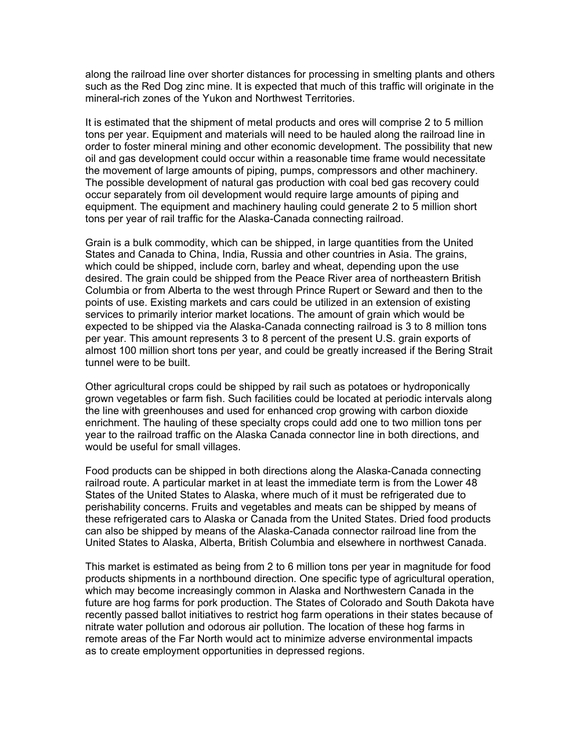along the railroad line over shorter distances for processing in smelting plants and others such as the Red Dog zinc mine. It is expected that much of this traffic will originate in the mineral-rich zones of the Yukon and Northwest Territories.

It is estimated that the shipment of metal products and ores will comprise 2 to 5 million tons per year. Equipment and materials will need to be hauled along the railroad line in order to foster mineral mining and other economic development. The possibility that new oil and gas development could occur within a reasonable time frame would necessitate the movement of large amounts of piping, pumps, compressors and other machinery. The possible development of natural gas production with coal bed gas recovery could occur separately from oil development would require large amounts of piping and equipment. The equipment and machinery hauling could generate 2 to 5 million short tons per year of rail traffic for the Alaska-Canada connecting railroad.

Grain is a bulk commodity, which can be shipped, in large quantities from the United States and Canada to China, India, Russia and other countries in Asia. The grains, which could be shipped, include corn, barley and wheat, depending upon the use desired. The grain could be shipped from the Peace River area of northeastern British Columbia or from Alberta to the west through Prince Rupert or Seward and then to the points of use. Existing markets and cars could be utilized in an extension of existing services to primarily interior market locations. The amount of grain which would be expected to be shipped via the Alaska-Canada connecting railroad is 3 to 8 million tons per year. This amount represents 3 to 8 percent of the present U.S. grain exports of almost 100 million short tons per year, and could be greatly increased if the Bering Strait tunnel were to be built.

Other agricultural crops could be shipped by rail such as potatoes or hydroponically grown vegetables or farm fish. Such facilities could be located at periodic intervals along the line with greenhouses and used for enhanced crop growing with carbon dioxide enrichment. The hauling of these specialty crops could add one to two million tons per year to the railroad traffic on the Alaska Canada connector line in both directions, and would be useful for small villages.

Food products can be shipped in both directions along the Alaska-Canada connecting railroad route. A particular market in at least the immediate term is from the Lower 48 States of the United States to Alaska, where much of it must be refrigerated due to perishability concerns. Fruits and vegetables and meats can be shipped by means of these refrigerated cars to Alaska or Canada from the United States. Dried food products can also be shipped by means of the Alaska-Canada connector railroad line from the United States to Alaska, Alberta, British Columbia and elsewhere in northwest Canada.

This market is estimated as being from 2 to 6 million tons per year in magnitude for food products shipments in a northbound direction. One specific type of agricultural operation, which may become increasingly common in Alaska and Northwestern Canada in the future are hog farms for pork production. The States of Colorado and South Dakota have recently passed ballot initiatives to restrict hog farm operations in their states because of nitrate water pollution and odorous air pollution. The location of these hog farms in remote areas of the Far North would act to minimize adverse environmental impacts as to create employment opportunities in depressed regions.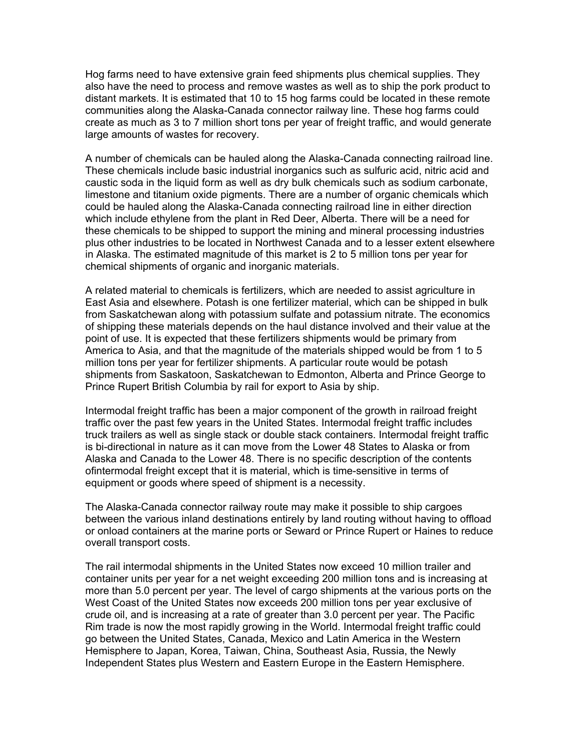Hog farms need to have extensive grain feed shipments plus chemical supplies. They also have the need to process and remove wastes as well as to ship the pork product to distant markets. It is estimated that 10 to 15 hog farms could be located in these remote communities along the Alaska-Canada connector railway line. These hog farms could create as much as 3 to 7 million short tons per year of freight traffic, and would generate large amounts of wastes for recovery.

A number of chemicals can be hauled along the Alaska-Canada connecting railroad line. These chemicals include basic industrial inorganics such as sulfuric acid, nitric acid and caustic soda in the liquid form as well as dry bulk chemicals such as sodium carbonate, limestone and titanium oxide pigments. There are a number of organic chemicals which could be hauled along the Alaska-Canada connecting railroad line in either direction which include ethylene from the plant in Red Deer, Alberta. There will be a need for these chemicals to be shipped to support the mining and mineral processing industries plus other industries to be located in Northwest Canada and to a lesser extent elsewhere in Alaska. The estimated magnitude of this market is 2 to 5 million tons per year for chemical shipments of organic and inorganic materials.

A related material to chemicals is fertilizers, which are needed to assist agriculture in East Asia and elsewhere. Potash is one fertilizer material, which can be shipped in bulk from Saskatchewan along with potassium sulfate and potassium nitrate. The economics of shipping these materials depends on the haul distance involved and their value at the point of use. It is expected that these fertilizers shipments would be primary from America to Asia, and that the magnitude of the materials shipped would be from 1 to 5 million tons per year for fertilizer shipments. A particular route would be potash shipments from Saskatoon, Saskatchewan to Edmonton, Alberta and Prince George to Prince Rupert British Columbia by rail for export to Asia by ship.

Intermodal freight traffic has been a major component of the growth in railroad freight traffic over the past few years in the United States. Intermodal freight traffic includes truck trailers as well as single stack or double stack containers. Intermodal freight traffic is bi-directional in nature as it can move from the Lower 48 States to Alaska or from Alaska and Canada to the Lower 48. There is no specific description of the contents ofintermodal freight except that it is material, which is time-sensitive in terms of equipment or goods where speed of shipment is a necessity.

The Alaska-Canada connector railway route may make it possible to ship cargoes between the various inland destinations entirely by land routing without having to offload or onload containers at the marine ports or Seward or Prince Rupert or Haines to reduce overall transport costs.

The rail intermodal shipments in the United States now exceed 10 million trailer and container units per year for a net weight exceeding 200 million tons and is increasing at more than 5.0 percent per year. The level of cargo shipments at the various ports on the West Coast of the United States now exceeds 200 million tons per year exclusive of crude oil, and is increasing at a rate of greater than 3.0 percent per year. The Pacific Rim trade is now the most rapidly growing in the World. Intermodal freight traffic could go between the United States, Canada, Mexico and Latin America in the Western Hemisphere to Japan, Korea, Taiwan, China, Southeast Asia, Russia, the Newly Independent States plus Western and Eastern Europe in the Eastern Hemisphere.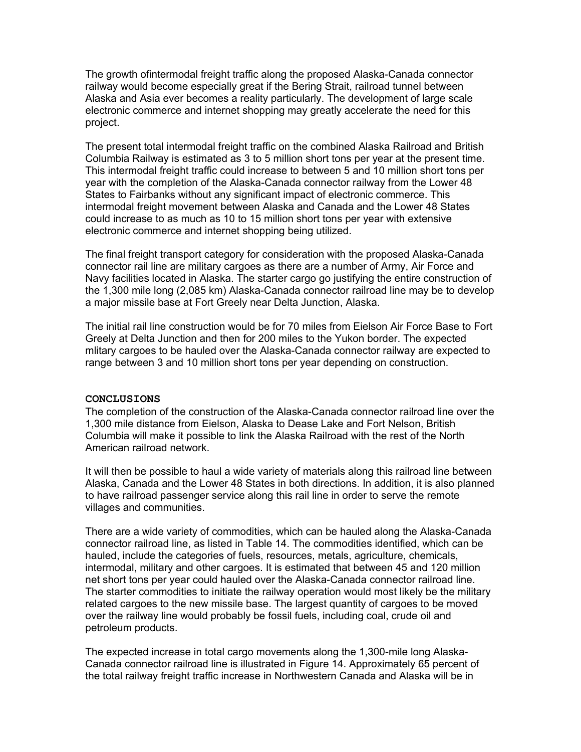The growth ofintermodal freight traffic along the proposed Alaska-Canada connector railway would become especially great if the Bering Strait, railroad tunnel between Alaska and Asia ever becomes a reality particularly. The development of large scale electronic commerce and internet shopping may greatly accelerate the need for this project.

The present total intermodal freight traffic on the combined Alaska Railroad and British Columbia Railway is estimated as 3 to 5 million short tons per year at the present time. This intermodal freight traffic could increase to between 5 and 10 million short tons per year with the completion of the Alaska-Canada connector railway from the Lower 48 States to Fairbanks without any significant impact of electronic commerce. This intermodal freight movement between Alaska and Canada and the Lower 48 States could increase to as much as 10 to 15 million short tons per year with extensive electronic commerce and internet shopping being utilized.

The final freight transport category for consideration with the proposed Alaska-Canada connector rail line are military cargoes as there are a number of Army, Air Force and Navy facilities located in Alaska. The starter cargo go justifying the entire construction of the 1,300 mile long (2,085 km) Alaska-Canada connector railroad line may be to develop a major missile base at Fort Greely near Delta Junction, Alaska.

The initial rail line construction would be for 70 miles from Eielson Air Force Base to Fort Greely at Delta Junction and then for 200 miles to the Yukon border. The expected mlitary cargoes to be hauled over the Alaska-Canada connector railway are expected to range between 3 and 10 million short tons per year depending on construction.

#### **CONCLUSIONS**

The completion of the construction of the Alaska-Canada connector railroad line over the 1,300 mile distance from Eielson, Alaska to Dease Lake and Fort Nelson, British Columbia will make it possible to link the Alaska Railroad with the rest of the North American railroad network.

It will then be possible to haul a wide variety of materials along this railroad line between Alaska, Canada and the Lower 48 States in both directions. In addition, it is also planned to have railroad passenger service along this rail line in order to serve the remote villages and communities.

There are a wide variety of commodities, which can be hauled along the Alaska-Canada connector railroad line, as listed in Table 14. The commodities identified, which can be hauled, include the categories of fuels, resources, metals, agriculture, chemicals, intermodal, military and other cargoes. It is estimated that between 45 and 120 million net short tons per year could hauled over the Alaska-Canada connector railroad line. The starter commodities to initiate the railway operation would most likely be the military related cargoes to the new missile base. The largest quantity of cargoes to be moved over the railway line would probably be fossil fuels, including coal, crude oil and petroleum products.

The expected increase in total cargo movements along the 1,300-mile long Alaska-Canada connector railroad line is illustrated in Figure 14. Approximately 65 percent of the total railway freight traffic increase in Northwestern Canada and Alaska will be in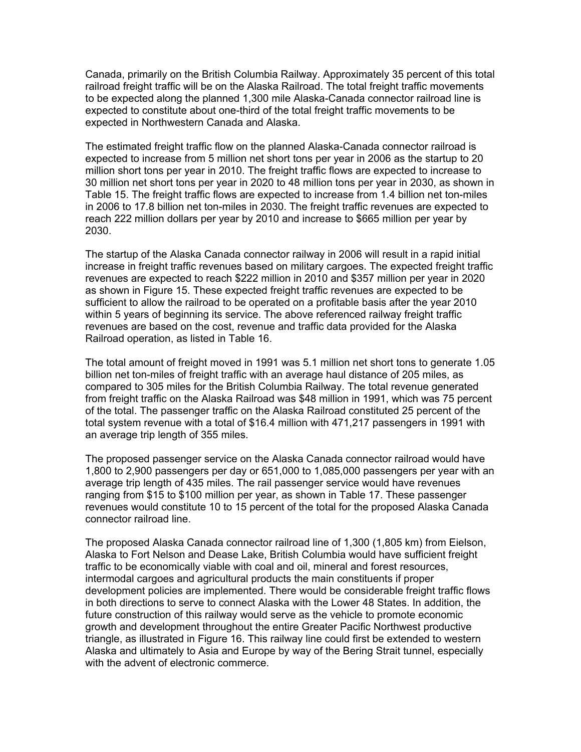Canada, primarily on the British Columbia Railway. Approximately 35 percent of this total railroad freight traffic will be on the Alaska Railroad. The total freight traffic movements to be expected along the planned 1,300 mile Alaska-Canada connector railroad line is expected to constitute about one-third of the total freight traffic movements to be expected in Northwestern Canada and Alaska.

The estimated freight traffic flow on the planned Alaska-Canada connector railroad is expected to increase from 5 million net short tons per year in 2006 as the startup to 20 million short tons per year in 2010. The freight traffic flows are expected to increase to 30 million net short tons per year in 2020 to 48 million tons per year in 2030, as shown in Table 15. The freight traffic flows are expected to increase from 1.4 billion net ton-miles in 2006 to 17.8 billion net ton-miles in 2030. The freight traffic revenues are expected to reach 222 million dollars per year by 2010 and increase to \$665 million per year by 2030.

The startup of the Alaska Canada connector railway in 2006 will result in a rapid initial increase in freight traffic revenues based on military cargoes. The expected freight traffic revenues are expected to reach \$222 million in 2010 and \$357 million per year in 2020 as shown in Figure 15. These expected freight traffic revenues are expected to be sufficient to allow the railroad to be operated on a profitable basis after the year 2010 within 5 years of beginning its service. The above referenced railway freight traffic revenues are based on the cost, revenue and traffic data provided for the Alaska Railroad operation, as listed in Table 16.

The total amount of freight moved in 1991 was 5.1 million net short tons to generate 1.05 billion net ton-miles of freight traffic with an average haul distance of 205 miles, as compared to 305 miles for the British Columbia Railway. The total revenue generated from freight traffic on the Alaska Railroad was \$48 million in 1991, which was 75 percent of the total. The passenger traffic on the Alaska Railroad constituted 25 percent of the total system revenue with a total of \$16.4 million with 471,217 passengers in 1991 with an average trip length of 355 miles.

The proposed passenger service on the Alaska Canada connector railroad would have 1,800 to 2,900 passengers per day or 651,000 to 1,085,000 passengers per year with an average trip length of 435 miles. The rail passenger service would have revenues ranging from \$15 to \$100 million per year, as shown in Table 17. These passenger revenues would constitute 10 to 15 percent of the total for the proposed Alaska Canada connector railroad line.

The proposed Alaska Canada connector railroad line of 1,300 (1,805 km) from Eielson, Alaska to Fort Nelson and Dease Lake, British Columbia would have sufficient freight traffic to be economically viable with coal and oil, mineral and forest resources, intermodal cargoes and agricultural products the main constituents if proper development policies are implemented. There would be considerable freight traffic flows in both directions to serve to connect Alaska with the Lower 48 States. In addition, the future construction of this railway would serve as the vehicle to promote economic growth and development throughout the entire Greater Pacific Northwest productive triangle, as illustrated in Figure 16. This railway line could first be extended to western Alaska and ultimately to Asia and Europe by way of the Bering Strait tunnel, especially with the advent of electronic commerce.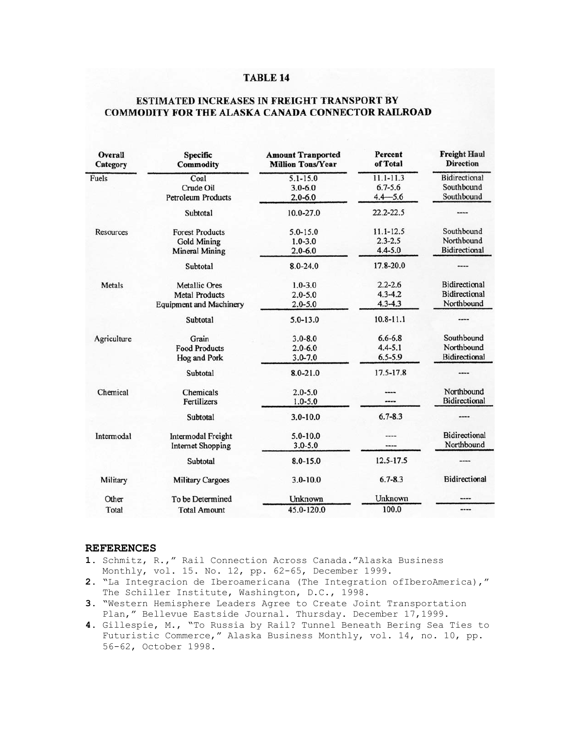#### **TABLE 14**

### ESTIMATED INCREASES IN FREIGHT TRANSPORT BY COMMODITY FOR THE ALASKA CANADA CONNECTOR RAILROAD

| Overall<br>Category | <b>Specific</b><br><b>Commodity</b> | <b>Amount Tranported</b><br><b>Million Tons/Year</b> | <b>Percent</b><br>of Total | <b>Freight Haul</b><br><b>Direction</b> |
|---------------------|-------------------------------------|------------------------------------------------------|----------------------------|-----------------------------------------|
| Fuels               | Coal                                | $5.1 - 15.0$                                         | $11.1 - 11.3$              | <b>Bidirectional</b>                    |
|                     | Crude Oil                           | $3.0 - 6.0$                                          | $6.7 - 5.6$                | Southbound                              |
|                     | <b>Petroleum Products</b>           | $2.0 - 6.0$                                          | $4.4 - 5.6$                | Southbound                              |
|                     | Subtotal                            | 10.0-27.0                                            | 22.2-22.5                  |                                         |
| Resources           | <b>Forest Products</b>              | $5.0 - 15.0$                                         | $11.1 - 12.5$              | Southbound                              |
|                     | <b>Gold Mining</b>                  | $1.0 - 3.0$                                          | $2.3 - 2.5$                | Northbound                              |
|                     | <b>Mineral Mining</b>               | $2.0 - 6.0$                                          | $4.4 - 5.0$                | <b>Bidirectional</b>                    |
|                     | Subtotal                            | 8.0-24.0                                             | 17.8-20.0                  |                                         |
| Metals              | <b>Metallic Ores</b>                | $1.0 - 3.0$                                          | $2.2 - 2.6$                | Bidirectional                           |
|                     | <b>Metal Products</b>               | $2.0 - 5.0$                                          | $4.3 - 4.2$                | <b>Bidirectional</b>                    |
|                     | <b>Equipment and Machinery</b>      | $2.0 - 5.0$                                          | $4.3 - 4.3$                | Northbound                              |
|                     | Subtotal                            | $5.0 - 13.0$                                         | $10.8 - 11.1$              |                                         |
| Agriculture         | Grain                               | $3.0 - 8.0$                                          | $6.6 - 6.8$                | Southbound                              |
|                     | <b>Food Products</b>                | $2.0 - 6.0$                                          | $4.4 - 5.1$                | Northbound                              |
|                     | Hog and Pork                        | $3.0 - 7.0$                                          | $6.5 - 5.9$                | Bidirectional                           |
|                     | Subtotal                            | $8.0 - 21.0$                                         | 17.5-17.8                  |                                         |
| Chemical            | Chemicals                           | $2.0 - 5.0$                                          |                            | Northbound                              |
|                     | Fertilizers                         | $1.0 - 5.0$                                          | ----                       | <b>Bidirectional</b>                    |
|                     | Subtotal                            | $3.0 - 10.0$                                         | $6.7 - 8.3$                |                                         |
| Intermodal          | Intermodal Freight                  | $5.0 - 10.0$                                         | ----                       | <b>Bidirectional</b>                    |
|                     | <b>Internet Shopping</b>            | $3.0 - 5.0$                                          | ----                       | Northbound                              |
|                     | Subtotal                            | $8.0 - 15.0$                                         | 12.5-17.5                  |                                         |
| Military            | <b>Military Cargoes</b>             | $3.0 - 10.0$                                         | $6.7 - 8.3$                | <b>Bidirectional</b>                    |
| Other               | To be Determined                    | Unknown                                              | Unknown                    |                                         |
| Total               | <b>Total Amount</b>                 | 45.0-120.0                                           | 100.0                      | ----                                    |

#### **REFERENCES**

- **1.** Schmitz, R.," Rail Connection Across Canada."Alaska Business Monthly, vol. 15. No. 12, pp. 62-65, December 1999.
- **2.** "La Integracion de Iberoamericana (The Integration ofIberoAmerica)," The Schiller Institute, Washington, D.C., 1998.
- **3.** "Western Hemisphere Leaders Agree to Create Joint Transportation Plan," Bellevue Eastside Journal. Thursday. December 17,1999.
- **4.** Gillespie, M., "To Russia by Rail? Tunnel Beneath Bering Sea Ties to Futuristic Commerce," Alaska Business Monthly, vol. 14, no. 10, pp. 56-62, October 1998.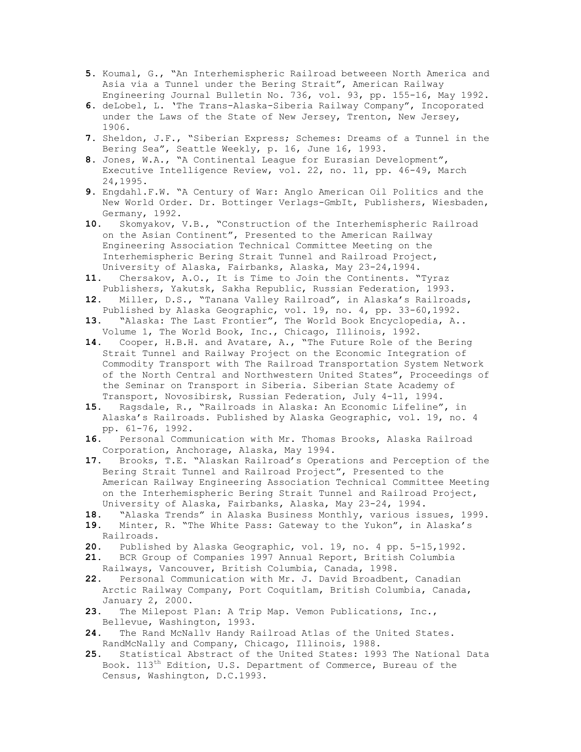- **5.** Koumal, G., "An Interhemispheric Railroad betweeen North America and Asia via a Tunnel under the Bering Strait", American Railway Engineering Journal Bulletin No. 736, vol. 93, pp. 155-16, May 1992.
- **6.** deLobel, L. 'The Trans-Alaska-Siberia Railway Company", Incoporated under the Laws of the State of New Jersey, Trenton, New Jersey, 1906.
- **7.** Sheldon, J.F., "Siberian Express; Schemes: Dreams of a Tunnel in the Bering Sea", Seattle Weekly, p. 16, June 16, 1993.
- **8.** Jones, W.A., "A Continental League for Eurasian Development", Executive Intelligence Review, vol. 22, no. 11, pp. 46-49, March 24,1995.
- **9.** Engdahl.F.W. "A Century of War: Anglo American Oil Politics and the New World Order. Dr. Bottinger Verlags-GmbIt, Publishers, Wiesbaden, Germany, 1992.
- **10.** Skomyakov, V.B., "Construction of the Interhemispheric Railroad on the Asian Continent", Presented to the American Railway Engineering Association Technical Committee Meeting on the Interhemispheric Bering Strait Tunnel and Railroad Project, University of Alaska, Fairbanks, Alaska, May 23-24,1994.
- **11.** Chersakov, A.O., It is Time to Join the Continents. "Tyraz Publishers, Yakutsk, Sakha Republic, Russian Federation, 1993.
- **12.** Miller, D.S., "Tanana Valley Railroad", in Alaska's Railroads, Published by Alaska Geographic, vol. 19, no. 4, pp. 33-60,1992.
- **13.** "Alaska: The Last Frontier", The World Book Encyclopedia, A.. Volume 1, The World Book, Inc., Chicago, Illinois, 1992.
- **14.** Cooper, H.B.H. and Avatare, A., "The Future Role of the Bering Strait Tunnel and Railway Project on the Economic Integration of Commodity Transport with The Railroad Transportation System Network of the North Central and Northwestern United States", Proceedings of the Seminar on Transport in Siberia. Siberian State Academy of Transport, Novosibirsk, Russian Federation, July 4-11, 1994.
- **15.** Ragsdale, R., "Railroads in Alaska: An Economic Lifeline", in Alaska's Railroads. Published by Alaska Geographic, vol. 19, no. 4 pp. 61-76, 1992.
- **16.** Personal Communication with Mr. Thomas Brooks, Alaska Railroad Corporation, Anchorage, Alaska, May 1994.
- **17.** Brooks, T.E. "Alaskan Railroad's Operations and Perception of the Bering Strait Tunnel and Railroad Project", Presented to the American Railway Engineering Association Technical Committee Meeting on the Interhemispheric Bering Strait Tunnel and Railroad Project, University of Alaska, Fairbanks, Alaska, May 23-24, 1994.
- **18.** "Alaska Trends" in Alaska Business Monthly, various issues, 1999.
- **19.** Minter, R. "The White Pass: Gateway to the Yukon", in Alaska's Railroads.
- **20.** Published by Alaska Geographic, vol. 19, no. 4 pp. 5-15,1992.
- **21.** BCR Group of Companies 1997 Annual Report, British Columbia Railways, Vancouver, British Columbia, Canada, 1998.
- **22.** Personal Communication with Mr. J. David Broadbent, Canadian
- Arctic Railway Company, Port Coquitlam, British Columbia, Canada, January 2, 2000.
- **23.** The Milepost Plan: A Trip Map. Vemon Publications, Inc., Bellevue, Washington, 1993.
- **24.** The Rand McNallv Handy Railroad Atlas of the United States. RandMcNally and Company, Chicago, Illinois, 1988.
- **25.** Statistical Abstract of the United States: 1993 The National Data Book. 113th Edition, U.S. Department of Commerce, Bureau of the Census, Washington, D.C.1993.